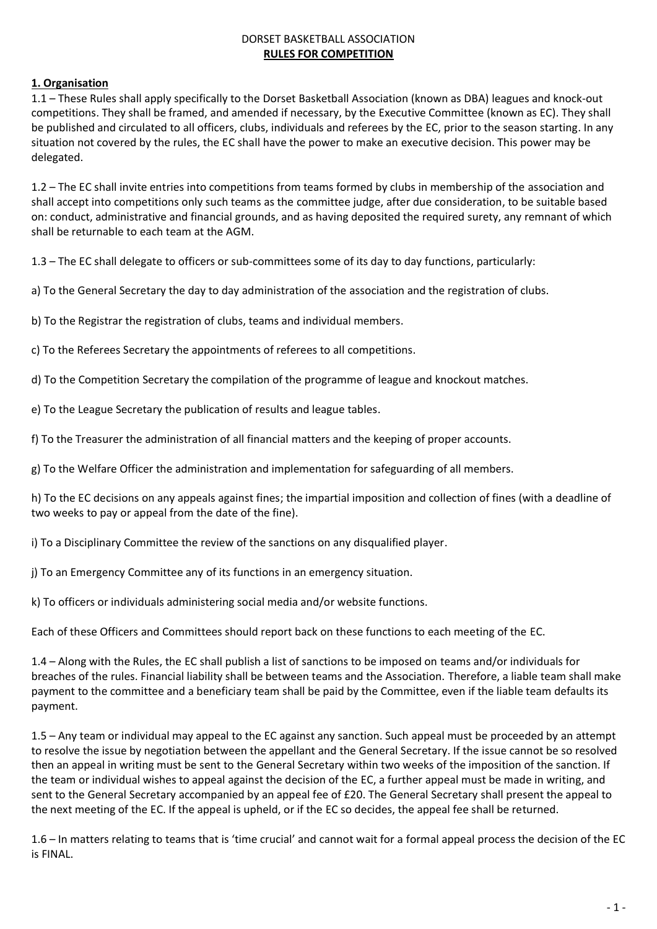#### DORSET BASKETBALL ASSOCIATION **RULES FOR COMPETITION**

# **1. Organisation**

1.1 – These Rules shall apply specifically to the Dorset Basketball Association (known as DBA) leagues and knock-out competitions. They shall be framed, and amended if necessary, by the Executive Committee (known as EC). They shall be published and circulated to all officers, clubs, individuals and referees by the EC, prior to the season starting. In any situation not covered by the rules, the EC shall have the power to make an executive decision. This power may be delegated.

1.2 – The EC shall invite entries into competitions from teams formed by clubs in membership of the association and shall accept into competitions only such teams as the committee judge, after due consideration, to be suitable based on: conduct, administrative and financial grounds, and as having deposited the required surety, any remnant of which shall be returnable to each team at the AGM.

1.3 – The EC shall delegate to officers or sub-committees some of its day to day functions, particularly:

a) To the General Secretary the day to day administration of the association and the registration of clubs.

b) To the Registrar the registration of clubs, teams and individual members.

c) To the Referees Secretary the appointments of referees to all competitions.

d) To the Competition Secretary the compilation of the programme of league and knockout matches.

e) To the League Secretary the publication of results and league tables.

f) To the Treasurer the administration of all financial matters and the keeping of proper accounts.

g) To the Welfare Officer the administration and implementation for safeguarding of all members.

h) To the EC decisions on any appeals against fines; the impartial imposition and collection of fines (with a deadline of two weeks to pay or appeal from the date of the fine).

i) To a Disciplinary Committee the review of the sanctions on any disqualified player.

j) To an Emergency Committee any of its functions in an emergency situation.

k) To officers or individuals administering social media and/or website functions.

Each of these Officers and Committees should report back on these functions to each meeting of the EC.

1.4 – Along with the Rules, the EC shall publish a list of sanctions to be imposed on teams and/or individuals for breaches of the rules. Financial liability shall be between teams and the Association. Therefore, a liable team shall make payment to the committee and a beneficiary team shall be paid by the Committee, even if the liable team defaults its payment.

1.5 – Any team or individual may appeal to the EC against any sanction. Such appeal must be proceeded by an attempt to resolve the issue by negotiation between the appellant and the General Secretary. If the issue cannot be so resolved then an appeal in writing must be sent to the General Secretary within two weeks of the imposition of the sanction. If the team or individual wishes to appeal against the decision of the EC, a further appeal must be made in writing, and sent to the General Secretary accompanied by an appeal fee of £20. The General Secretary shall present the appeal to the next meeting of the EC. If the appeal is upheld, or if the EC so decides, the appeal fee shall be returned.

1.6 – In matters relating to teams that is 'time crucial' and cannot wait for a formal appeal process the decision of the EC is FINAL.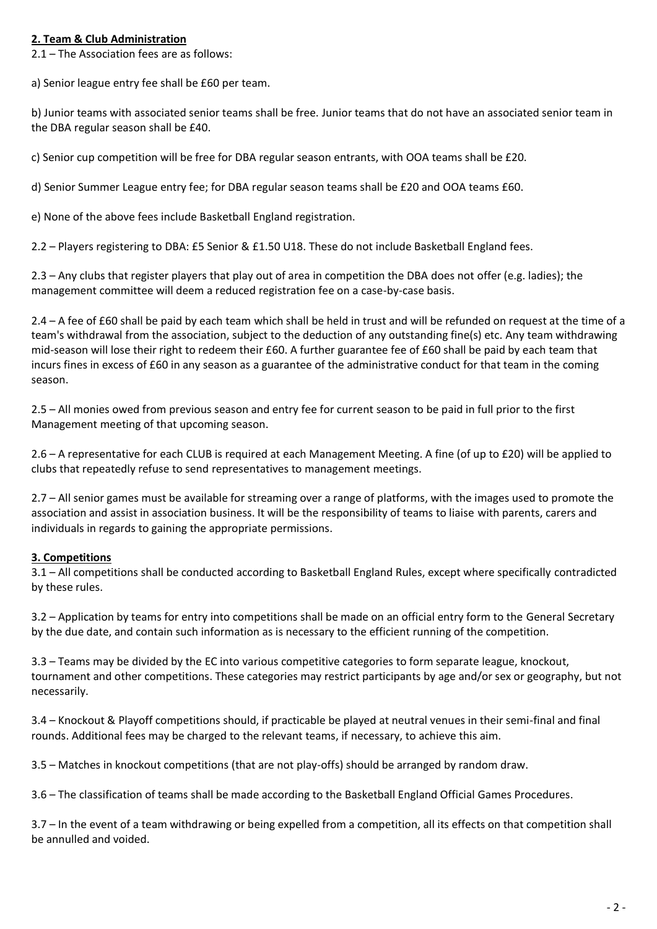## **2. Team & Club Administration**

2.1 – The Association fees are as follows:

a) Senior league entry fee shall be £60 per team.

b) Junior teams with associated senior teams shall be free. Junior teams that do not have an associated senior team in the DBA regular season shall be £40.

c) Senior cup competition will be free for DBA regular season entrants, with OOA teams shall be £20.

d) Senior Summer League entry fee; for DBA regular season teams shall be £20 and OOA teams £60.

e) None of the above fees include Basketball England registration.

2.2 – Players registering to DBA: £5 Senior & £1.50 U18. These do not include Basketball England fees.

2.3 – Any clubs that register players that play out of area in competition the DBA does not offer (e.g. ladies); the management committee will deem a reduced registration fee on a case-by-case basis.

2.4 – A fee of £60 shall be paid by each team which shall be held in trust and will be refunded on request at the time of a team's withdrawal from the association, subject to the deduction of any outstanding fine(s) etc. Any team withdrawing mid-season will lose their right to redeem their £60. A further guarantee fee of £60 shall be paid by each team that incurs fines in excess of £60 in any season as a guarantee of the administrative conduct for that team in the coming season.

2.5 – All monies owed from previous season and entry fee for current season to be paid in full prior to the first Management meeting of that upcoming season.

2.6 – A representative for each CLUB is required at each Management Meeting. A fine (of up to £20) will be applied to clubs that repeatedly refuse to send representatives to management meetings.

2.7 – All senior games must be available for streaming over a range of platforms, with the images used to promote the association and assist in association business. It will be the responsibility of teams to liaise with parents, carers and individuals in regards to gaining the appropriate permissions.

### **3. Competitions**

3.1 – All competitions shall be conducted according to Basketball England Rules, except where specifically contradicted by these rules.

3.2 – Application by teams for entry into competitions shall be made on an official entry form to the General Secretary by the due date, and contain such information as is necessary to the efficient running of the competition.

3.3 – Teams may be divided by the EC into various competitive categories to form separate league, knockout, tournament and other competitions. These categories may restrict participants by age and/or sex or geography, but not necessarily.

3.4 – Knockout & Playoff competitions should, if practicable be played at neutral venues in their semi-final and final rounds. Additional fees may be charged to the relevant teams, if necessary, to achieve this aim.

3.5 – Matches in knockout competitions (that are not play-offs) should be arranged by random draw.

3.6 – The classification of teams shall be made according to the Basketball England Official Games Procedures.

3.7 – In the event of a team withdrawing or being expelled from a competition, all its effects on that competition shall be annulled and voided.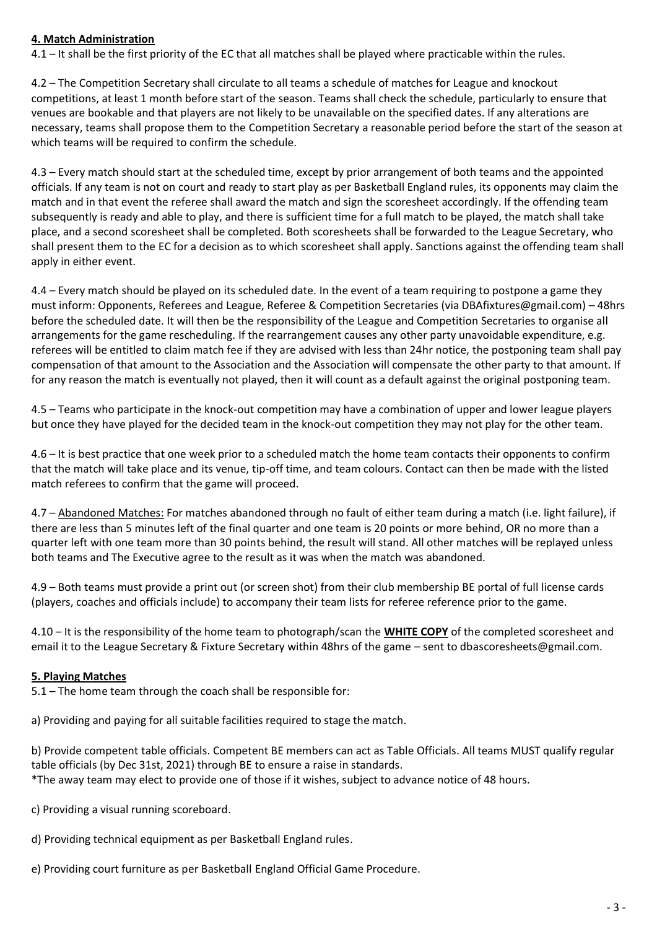### **4. Match Administration**

4.1 – It shall be the first priority of the EC that all matches shall be played where practicable within the rules.

4.2 – The Competition Secretary shall circulate to all teams a schedule of matches for League and knockout competitions, at least 1 month before start of the season. Teams shall check the schedule, particularly to ensure that venues are bookable and that players are not likely to be unavailable on the specified dates. If any alterations are necessary, teams shall propose them to the Competition Secretary a reasonable period before the start of the season at which teams will be required to confirm the schedule.

4.3 – Every match should start at the scheduled time, except by prior arrangement of both teams and the appointed officials. If any team is not on court and ready to start play as per Basketball England rules, its opponents may claim the match and in that event the referee shall award the match and sign the scoresheet accordingly. If the offending team subsequently is ready and able to play, and there is sufficient time for a full match to be played, the match shall take place, and a second scoresheet shall be completed. Both scoresheets shall be forwarded to the League Secretary, who shall present them to the EC for a decision as to which scoresheet shall apply. Sanctions against the offending team shall apply in either event.

4.4 – Every match should be played on its scheduled date. In the event of a team requiring to postpone a game they must inform: Opponents, Referees and League, Referee & Competition Secretaries (via DBAfixtures@gmail.com) – 48hrs before the scheduled date. It will then be the responsibility of the League and Competition Secretaries to organise all arrangements for the game rescheduling. If the rearrangement causes any other party unavoidable expenditure, e.g. referees will be entitled to claim match fee if they are advised with less than 24hr notice, the postponing team shall pay compensation of that amount to the Association and the Association will compensate the other party to that amount. If for any reason the match is eventually not played, then it will count as a default against the original postponing team.

4.5 – Teams who participate in the knock-out competition may have a combination of upper and lower league players but once they have played for the decided team in the knock-out competition they may not play for the other team.

4.6 – It is best practice that one week prior to a scheduled match the home team contacts their opponents to confirm that the match will take place and its venue, tip-off time, and team colours. Contact can then be made with the listed match referees to confirm that the game will proceed.

4.7 – Abandoned Matches: For matches abandoned through no fault of either team during a match (i.e. light failure), if there are less than 5 minutes left of the final quarter and one team is 20 points or more behind, OR no more than a quarter left with one team more than 30 points behind, the result will stand. All other matches will be replayed unless both teams and The Executive agree to the result as it was when the match was abandoned.

4.9 – Both teams must provide a print out (or screen shot) from their club membership BE portal of full license cards (players, coaches and officials include) to accompany their team lists for referee reference prior to the game.

4.10 – It is the responsibility of the home team to photograph/scan the **WHITE COPY** of the completed scoresheet and email it to the League Secretary & Fixture Secretary within 48hrs of the game – sent to dbascoresheets@gmail.com.

### **5. Playing Matches**

5.1 – The home team through the coach shall be responsible for:

a) Providing and paying for all suitable facilities required to stage the match.

b) Provide competent table officials. Competent BE members can act as Table Officials. All teams MUST qualify regular table officials (by Dec 31st, 2021) through BE to ensure a raise in standards. \*The away team may elect to provide one of those if it wishes, subject to advance notice of 48 hours.

c) Providing a visual running scoreboard.

d) Providing technical equipment as per Basketball England rules.

e) Providing court furniture as per Basketball England Official Game Procedure.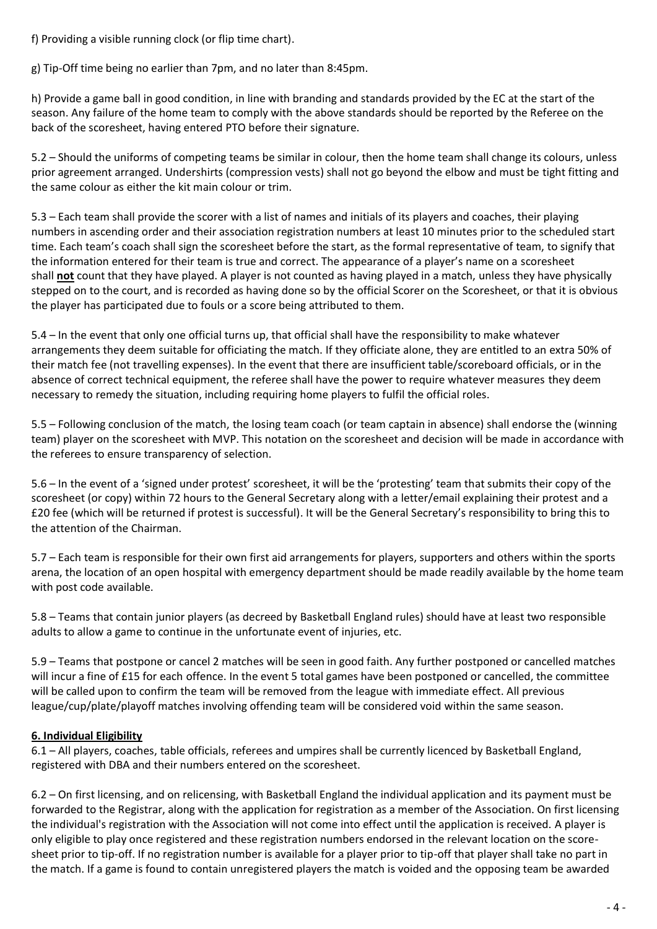f) Providing a visible running clock (or flip time chart).

g) Tip-Off time being no earlier than 7pm, and no later than 8:45pm.

h) Provide a game ball in good condition, in line with branding and standards provided by the EC at the start of the season. Any failure of the home team to comply with the above standards should be reported by the Referee on the back of the scoresheet, having entered PTO before their signature.

5.2 – Should the uniforms of competing teams be similar in colour, then the home team shall change its colours, unless prior agreement arranged. Undershirts (compression vests) shall not go beyond the elbow and must be tight fitting and the same colour as either the kit main colour or trim.

5.3 – Each team shall provide the scorer with a list of names and initials of its players and coaches, their playing numbers in ascending order and their association registration numbers at least 10 minutes prior to the scheduled start time. Each team's coach shall sign the scoresheet before the start, as the formal representative of team, to signify that the information entered for their team is true and correct. The appearance of a player's name on a scoresheet shall **not** count that they have played. A player is not counted as having played in a match, unless they have physically stepped on to the court, and is recorded as having done so by the official Scorer on the Scoresheet, or that it is obvious the player has participated due to fouls or a score being attributed to them.

5.4 – In the event that only one official turns up, that official shall have the responsibility to make whatever arrangements they deem suitable for officiating the match. If they officiate alone, they are entitled to an extra 50% of their match fee (not travelling expenses). In the event that there are insufficient table/scoreboard officials, or in the absence of correct technical equipment, the referee shall have the power to require whatever measures they deem necessary to remedy the situation, including requiring home players to fulfil the official roles.

5.5 – Following conclusion of the match, the losing team coach (or team captain in absence) shall endorse the (winning team) player on the scoresheet with MVP. This notation on the scoresheet and decision will be made in accordance with the referees to ensure transparency of selection.

5.6 – In the event of a 'signed under protest' scoresheet, it will be the 'protesting' team that submits their copy of the scoresheet (or copy) within 72 hours to the General Secretary along with a letter/email explaining their protest and a £20 fee (which will be returned if protest is successful). It will be the General Secretary's responsibility to bring this to the attention of the Chairman.

5.7 – Each team is responsible for their own first aid arrangements for players, supporters and others within the sports arena, the location of an open hospital with emergency department should be made readily available by the home team with post code available.

5.8 – Teams that contain junior players (as decreed by Basketball England rules) should have at least two responsible adults to allow a game to continue in the unfortunate event of injuries, etc.

5.9 – Teams that postpone or cancel 2 matches will be seen in good faith. Any further postponed or cancelled matches will incur a fine of £15 for each offence. In the event 5 total games have been postponed or cancelled, the committee will be called upon to confirm the team will be removed from the league with immediate effect. All previous league/cup/plate/playoff matches involving offending team will be considered void within the same season.

# **6. Individual Eligibility**

6.1 – All players, coaches, table officials, referees and umpires shall be currently licenced by Basketball England, registered with DBA and their numbers entered on the scoresheet.

6.2 – On first licensing, and on relicensing, with Basketball England the individual application and its payment must be forwarded to the Registrar, along with the application for registration as a member of the Association. On first licensing the individual's registration with the Association will not come into effect until the application is received. A player is only eligible to play once registered and these registration numbers endorsed in the relevant location on the scoresheet prior to tip-off. If no registration number is available for a player prior to tip-off that player shall take no part in the match. If a game is found to contain unregistered players the match is voided and the opposing team be awarded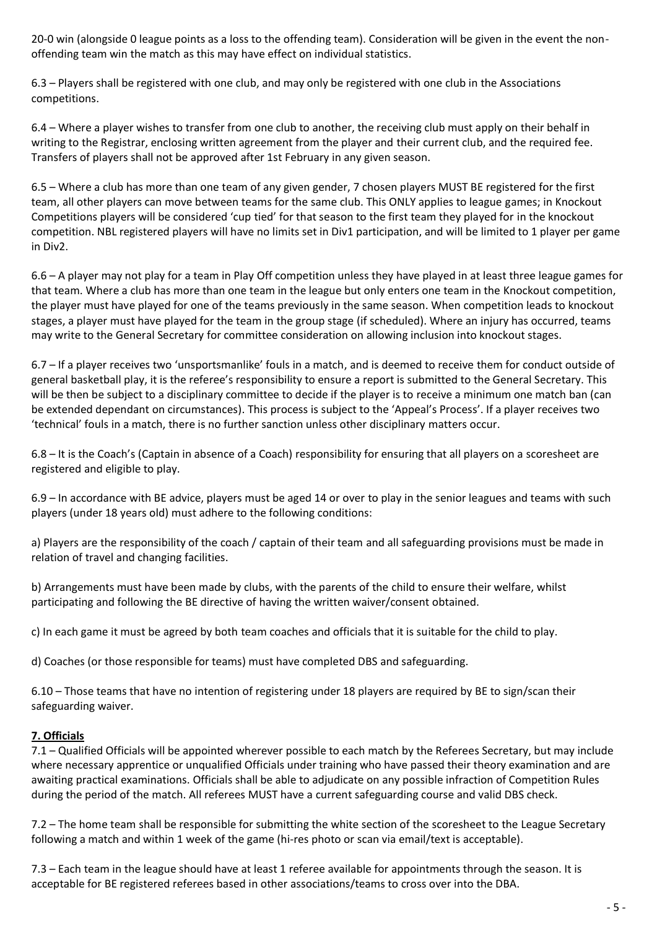20-0 win (alongside 0 league points as a loss to the offending team). Consideration will be given in the event the nonoffending team win the match as this may have effect on individual statistics.

6.3 – Players shall be registered with one club, and may only be registered with one club in the Associations competitions.

6.4 – Where a player wishes to transfer from one club to another, the receiving club must apply on their behalf in writing to the Registrar, enclosing written agreement from the player and their current club, and the required fee. Transfers of players shall not be approved after 1st February in any given season.

6.5 – Where a club has more than one team of any given gender, 7 chosen players MUST BE registered for the first team, all other players can move between teams for the same club. This ONLY applies to league games; in Knockout Competitions players will be considered 'cup tied' for that season to the first team they played for in the knockout competition. NBL registered players will have no limits set in Div1 participation, and will be limited to 1 player per game in Div2.

6.6 – A player may not play for a team in Play Off competition unless they have played in at least three league games for that team. Where a club has more than one team in the league but only enters one team in the Knockout competition, the player must have played for one of the teams previously in the same season. When competition leads to knockout stages, a player must have played for the team in the group stage (if scheduled). Where an injury has occurred, teams may write to the General Secretary for committee consideration on allowing inclusion into knockout stages.

6.7 – If a player receives two 'unsportsmanlike' fouls in a match, and is deemed to receive them for conduct outside of general basketball play, it is the referee's responsibility to ensure a report is submitted to the General Secretary. This will be then be subject to a disciplinary committee to decide if the player is to receive a minimum one match ban (can be extended dependant on circumstances). This process is subject to the 'Appeal's Process'. If a player receives two 'technical' fouls in a match, there is no further sanction unless other disciplinary matters occur.

6.8 – It is the Coach's (Captain in absence of a Coach) responsibility for ensuring that all players on a scoresheet are registered and eligible to play.

6.9 – In accordance with BE advice, players must be aged 14 or over to play in the senior leagues and teams with such players (under 18 years old) must adhere to the following conditions:

a) Players are the responsibility of the coach / captain of their team and all safeguarding provisions must be made in relation of travel and changing facilities.

b) Arrangements must have been made by clubs, with the parents of the child to ensure their welfare, whilst participating and following the BE directive of having the written waiver/consent obtained.

c) In each game it must be agreed by both team coaches and officials that it is suitable for the child to play.

d) Coaches (or those responsible for teams) must have completed DBS and safeguarding.

6.10 – Those teams that have no intention of registering under 18 players are required by BE to sign/scan their safeguarding waiver.

### **7. Officials**

7.1 – Qualified Officials will be appointed wherever possible to each match by the Referees Secretary, but may include where necessary apprentice or unqualified Officials under training who have passed their theory examination and are awaiting practical examinations. Officials shall be able to adjudicate on any possible infraction of Competition Rules during the period of the match. All referees MUST have a current safeguarding course and valid DBS check.

7.2 – The home team shall be responsible for submitting the white section of the scoresheet to the League Secretary following a match and within 1 week of the game (hi-res photo or scan via email/text is acceptable).

7.3 – Each team in the league should have at least 1 referee available for appointments through the season. It is acceptable for BE registered referees based in other associations/teams to cross over into the DBA.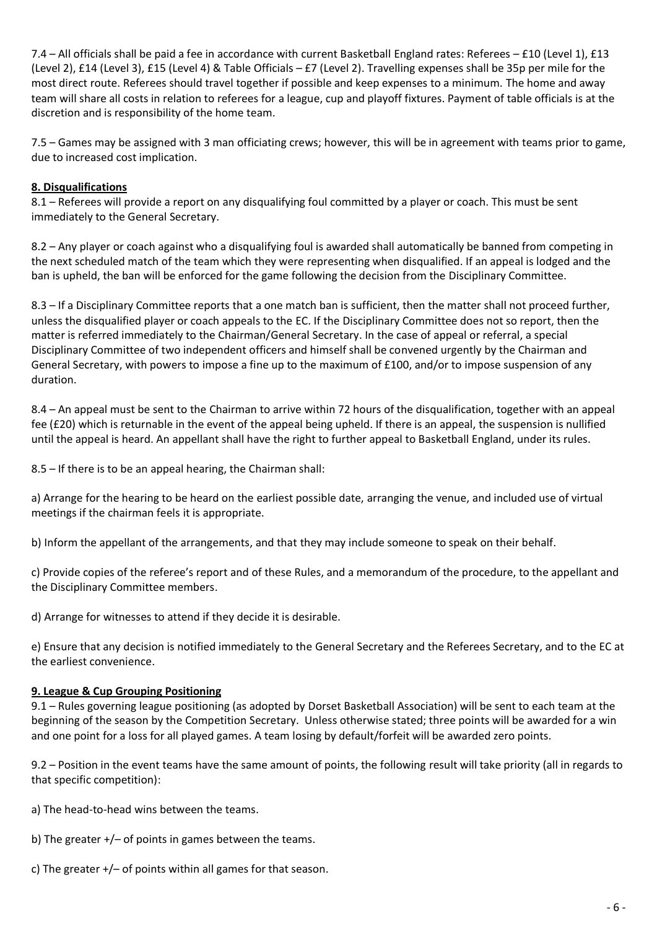7.4 – All officials shall be paid a fee in accordance with current Basketball England rates: Referees – £10 (Level 1), £13 (Level 2), £14 (Level 3), £15 (Level 4) & Table Officials – £7 (Level 2). Travelling expenses shall be 35p per mile for the most direct route. Referees should travel together if possible and keep expenses to a minimum. The home and away team will share all costs in relation to referees for a league, cup and playoff fixtures. Payment of table officials is at the discretion and is responsibility of the home team.

7.5 – Games may be assigned with 3 man officiating crews; however, this will be in agreement with teams prior to game, due to increased cost implication.

# **8. Disqualifications**

8.1 – Referees will provide a report on any disqualifying foul committed by a player or coach. This must be sent immediately to the General Secretary.

8.2 – Any player or coach against who a disqualifying foul is awarded shall automatically be banned from competing in the next scheduled match of the team which they were representing when disqualified. If an appeal is lodged and the ban is upheld, the ban will be enforced for the game following the decision from the Disciplinary Committee.

8.3 – If a Disciplinary Committee reports that a one match ban is sufficient, then the matter shall not proceed further, unless the disqualified player or coach appeals to the EC. If the Disciplinary Committee does not so report, then the matter is referred immediately to the Chairman/General Secretary. In the case of appeal or referral, a special Disciplinary Committee of two independent officers and himself shall be convened urgently by the Chairman and General Secretary, with powers to impose a fine up to the maximum of £100, and/or to impose suspension of any duration.

8.4 – An appeal must be sent to the Chairman to arrive within 72 hours of the disqualification, together with an appeal fee (£20) which is returnable in the event of the appeal being upheld. If there is an appeal, the suspension is nullified until the appeal is heard. An appellant shall have the right to further appeal to Basketball England, under its rules.

8.5 – If there is to be an appeal hearing, the Chairman shall:

a) Arrange for the hearing to be heard on the earliest possible date, arranging the venue, and included use of virtual meetings if the chairman feels it is appropriate.

b) Inform the appellant of the arrangements, and that they may include someone to speak on their behalf.

c) Provide copies of the referee's report and of these Rules, and a memorandum of the procedure, to the appellant and the Disciplinary Committee members.

d) Arrange for witnesses to attend if they decide it is desirable.

e) Ensure that any decision is notified immediately to the General Secretary and the Referees Secretary, and to the EC at the earliest convenience.

### **9. League & Cup Grouping Positioning**

9.1 – Rules governing league positioning (as adopted by Dorset Basketball Association) will be sent to each team at the beginning of the season by the Competition Secretary. Unless otherwise stated; three points will be awarded for a win and one point for a loss for all played games. A team losing by default/forfeit will be awarded zero points.

9.2 – Position in the event teams have the same amount of points, the following result will take priority (all in regards to that specific competition):

- a) The head-to-head wins between the teams.
- b) The greater +/– of points in games between the teams.
- c) The greater +/– of points within all games for that season.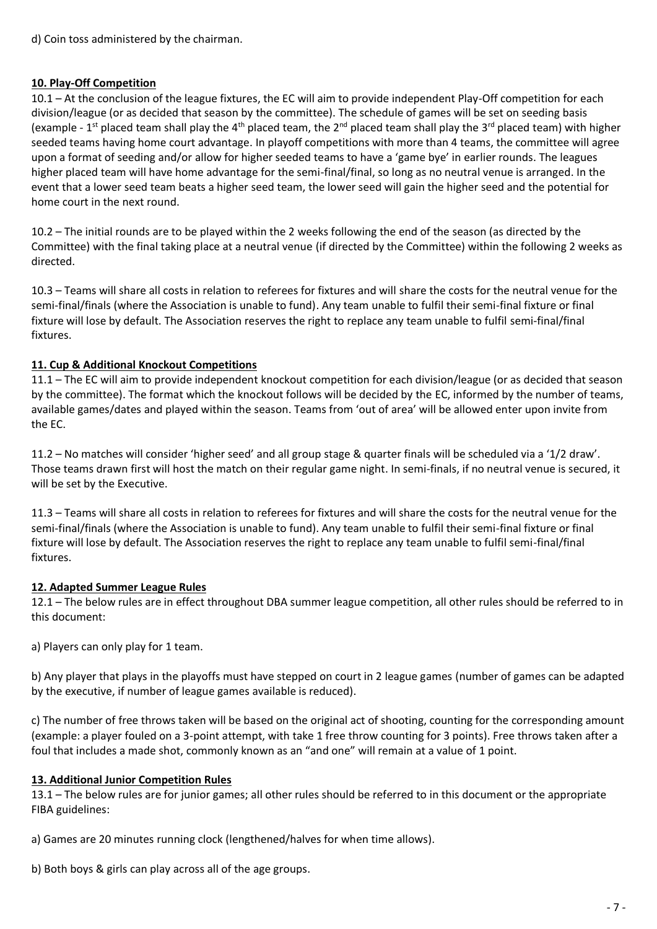d) Coin toss administered by the chairman.

#### **10. Play-Off Competition**

10.1 – At the conclusion of the league fixtures, the EC will aim to provide independent Play-Off competition for each division/league (or as decided that season by the committee). The schedule of games will be set on seeding basis (example - 1<sup>st</sup> placed team shall play the 4<sup>th</sup> placed team, the 2<sup>nd</sup> placed team shall play the 3<sup>rd</sup> placed team) with higher seeded teams having home court advantage. In playoff competitions with more than 4 teams, the committee will agree upon a format of seeding and/or allow for higher seeded teams to have a 'game bye' in earlier rounds. The leagues higher placed team will have home advantage for the semi-final/final, so long as no neutral venue is arranged. In the event that a lower seed team beats a higher seed team, the lower seed will gain the higher seed and the potential for home court in the next round.

10.2 – The initial rounds are to be played within the 2 weeks following the end of the season (as directed by the Committee) with the final taking place at a neutral venue (if directed by the Committee) within the following 2 weeks as directed.

10.3 – Teams will share all costs in relation to referees for fixtures and will share the costs for the neutral venue for the semi-final/finals (where the Association is unable to fund). Any team unable to fulfil their semi-final fixture or final fixture will lose by default. The Association reserves the right to replace any team unable to fulfil semi-final/final fixtures.

### **11. Cup & Additional Knockout Competitions**

11.1 – The EC will aim to provide independent knockout competition for each division/league (or as decided that season by the committee). The format which the knockout follows will be decided by the EC, informed by the number of teams, available games/dates and played within the season. Teams from 'out of area' will be allowed enter upon invite from the EC.

11.2 – No matches will consider 'higher seed' and all group stage & quarter finals will be scheduled via a '1/2 draw'. Those teams drawn first will host the match on their regular game night. In semi-finals, if no neutral venue is secured, it will be set by the Executive.

11.3 – Teams will share all costs in relation to referees for fixtures and will share the costs for the neutral venue for the semi-final/finals (where the Association is unable to fund). Any team unable to fulfil their semi-final fixture or final fixture will lose by default. The Association reserves the right to replace any team unable to fulfil semi-final/final fixtures.

### **12. Adapted Summer League Rules**

12.1 – The below rules are in effect throughout DBA summer league competition, all other rules should be referred to in this document:

a) Players can only play for 1 team.

b) Any player that plays in the playoffs must have stepped on court in 2 league games (number of games can be adapted by the executive, if number of league games available is reduced).

c) The number of free throws taken will be based on the original act of shooting, counting for the corresponding amount (example: a player fouled on a 3-point attempt, with take 1 free throw counting for 3 points). Free throws taken after a foul that includes a made shot, commonly known as an "and one" will remain at a value of 1 point.

### **13. Additional Junior Competition Rules**

13.1 – The below rules are for junior games; all other rules should be referred to in this document or the appropriate FIBA guidelines:

a) Games are 20 minutes running clock (lengthened/halves for when time allows).

b) Both boys & girls can play across all of the age groups.